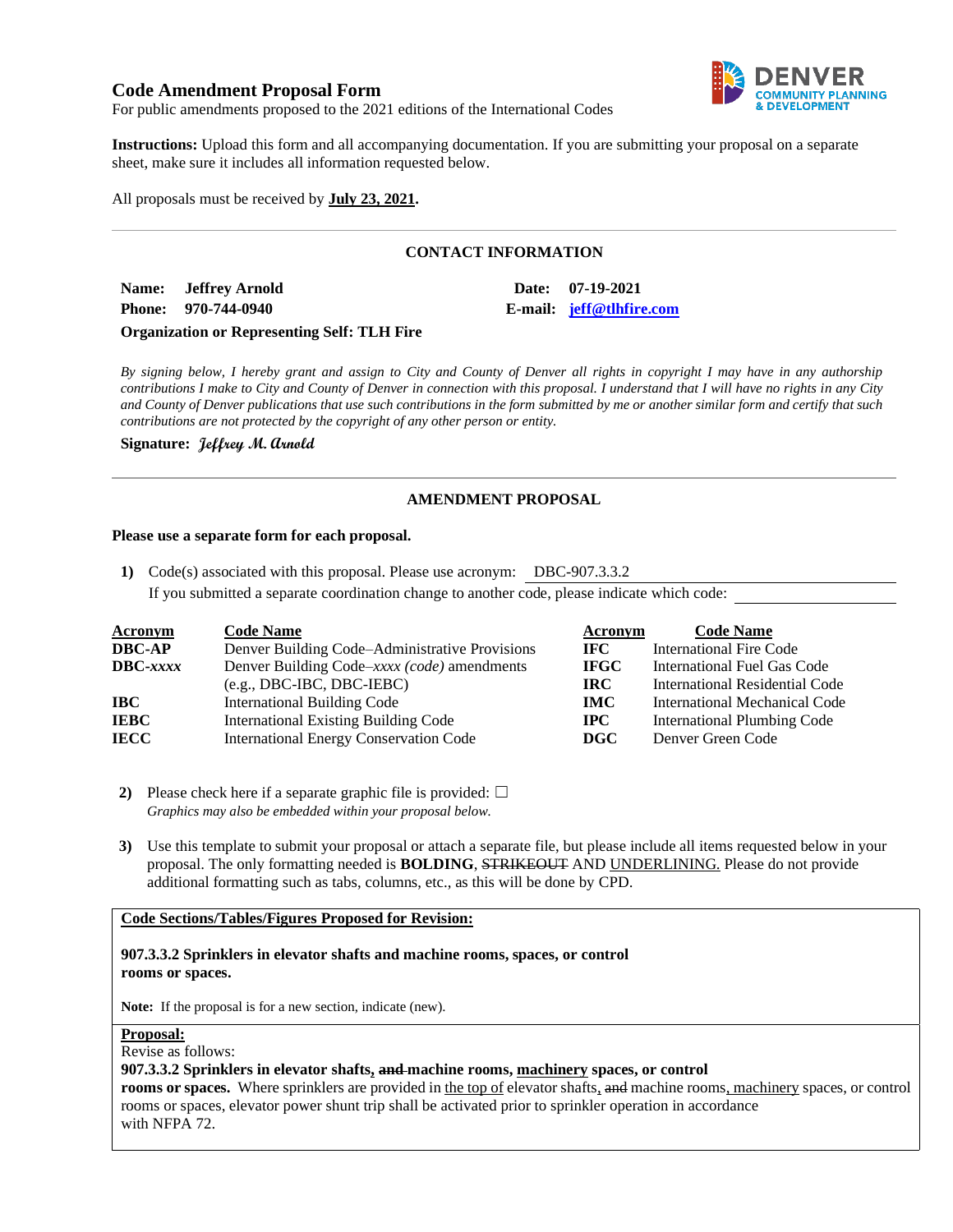# **Code Amendment Proposal Form**



For public amendments proposed to the 2021 editions of the International Codes

**Instructions:** Upload this form and all accompanying documentation. If you are submitting your proposal on a separate sheet, make sure it includes all information requested below.

All proposals must be received by **July 23, 2021.**

## **CONTACT INFORMATION**

**Name: Jeffrey Arnold Date: 07-19-2021 Phone: 970-744-0940 E-mail: [jeff@tlhfire.com](mailto:jeff@tlhfire.com)**

**Organization or Representing Self: TLH Fire**

*By signing below, I hereby grant and assign to City and County of Denver all rights in copyright I may have in any authorship contributions I make to City and County of Denver in connection with this proposal. I understand that I will have no rights in any City and County of Denver publications that use such contributions in the form submitted by me or another similar form and certify that such contributions are not protected by the copyright of any other person or entity.* 

**Signature: Jeffrey M. Arnold**

### **AMENDMENT PROPOSAL**

#### **Please use a separate form for each proposal.**

**1)** Code(s) associated with this proposal. Please use acronym: DBC-907.3.3.2 If you submitted a separate coordination change to another code, please indicate which code:

| <b>Acronym</b>    | <b>Code Name</b>                               | Acronym      | <b>Code Name</b>                   |
|-------------------|------------------------------------------------|--------------|------------------------------------|
| <b>DBC-AP</b>     | Denver Building Code–Administrative Provisions | IFC -        | <b>International Fire Code</b>     |
| $\text{DBC}-xxxx$ | Denver Building Code–xxxx (code) amendments    | <b>IFGC</b>  | International Fuel Gas Code        |
|                   | $(e.g., DBC-IBC, DBC-IEBC)$                    | IRC.         | International Residential Code     |
| IBC               | International Building Code                    | <b>IMC</b>   | International Mechanical Code      |
| <b>IEBC</b>       | <b>International Existing Building Code</b>    | $_{\rm IPC}$ | <b>International Plumbing Code</b> |
| <b>IECC</b>       | <b>International Energy Conservation Code</b>  | DGC          | Denver Green Code                  |

**2)** Please check here if a separate graphic file is provided:  $\Box$ *Graphics may also be embedded within your proposal below.*

**3)** Use this template to submit your proposal or attach a separate file, but please include all items requested below in your proposal. The only formatting needed is **BOLDING**, STRIKEOUT AND UNDERLINING. Please do not provide additional formatting such as tabs, columns, etc., as this will be done by CPD.

#### **Code Sections/Tables/Figures Proposed for Revision:**

**907.3.3.2 Sprinklers in elevator shafts and machine rooms, spaces, or control rooms or spaces.**

**Note:** If the proposal is for a new section, indicate (new).

### **Proposal:**

Revise as follows:

#### **907.3.3.2 Sprinklers in elevator shafts, and machine rooms, machinery spaces, or control**

**rooms or spaces.** Where sprinklers are provided in the top of elevator shafts, and machine rooms, machinery spaces, or control rooms or spaces, elevator power shunt trip shall be activated prior to sprinkler operation in accordance with NFPA 72.